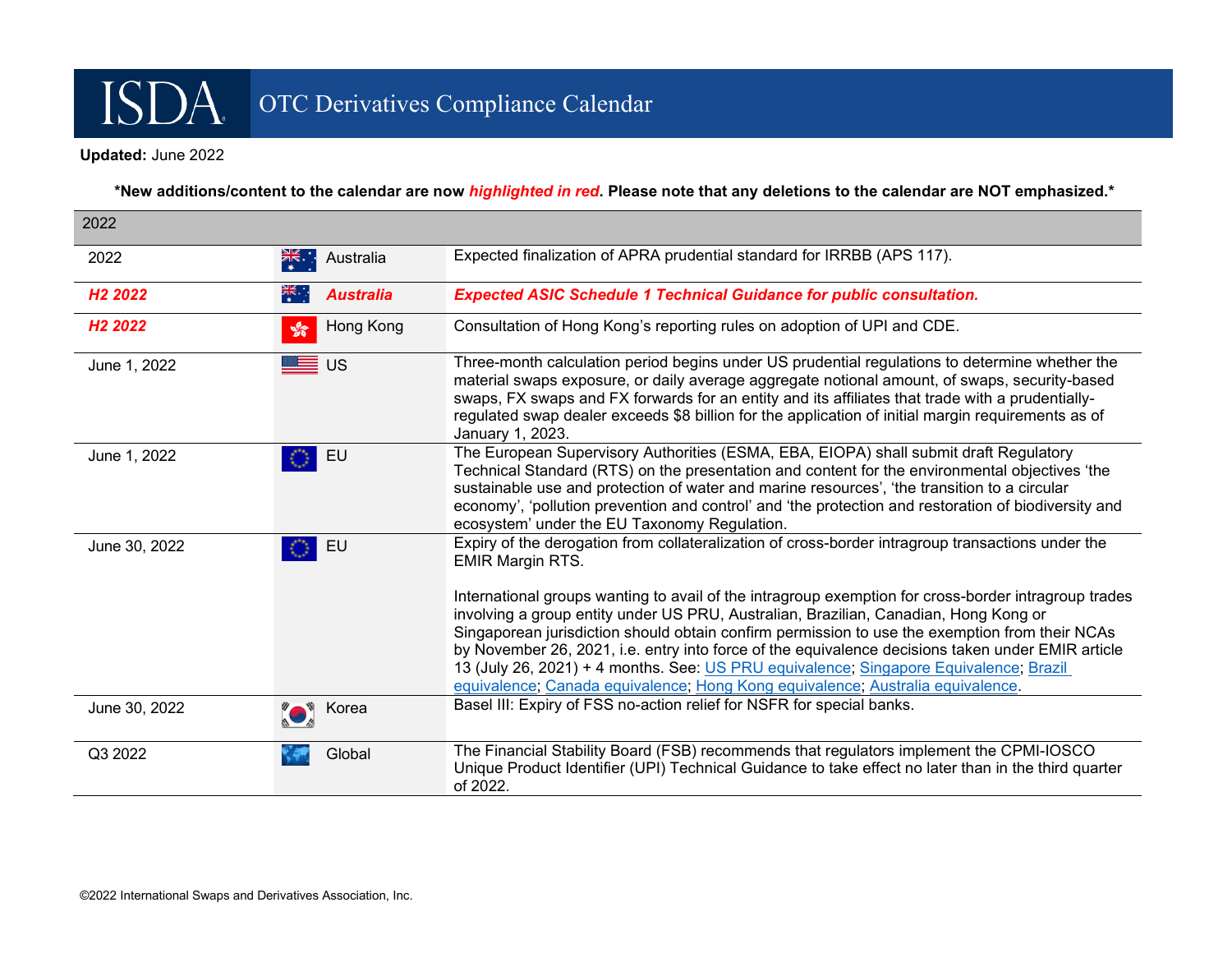# OTC Derivatives Compliance Calendar

#### **Updated:** June 2022

ISDA.

 **\*New additions/content to the calendar are now** *highlighted in red***. Please note that any deletions to the calendar are NOT emphasized.\***

| 2022                |                                                             |                                                                                                                                                                                                                                                                                                                                                                                                                                                                                                                                                                                                                                                                                                                |
|---------------------|-------------------------------------------------------------|----------------------------------------------------------------------------------------------------------------------------------------------------------------------------------------------------------------------------------------------------------------------------------------------------------------------------------------------------------------------------------------------------------------------------------------------------------------------------------------------------------------------------------------------------------------------------------------------------------------------------------------------------------------------------------------------------------------|
| 2022                | $\frac{2}{\sqrt{5}}$<br>Australia                           | Expected finalization of APRA prudential standard for IRRBB (APS 117).                                                                                                                                                                                                                                                                                                                                                                                                                                                                                                                                                                                                                                         |
| H <sub>2</sub> 2022 | <b>Australia</b><br>$\overline{\mathbb{Z}}\times\mathbb{Z}$ | <b>Expected ASIC Schedule 1 Technical Guidance for public consultation.</b>                                                                                                                                                                                                                                                                                                                                                                                                                                                                                                                                                                                                                                    |
| H <sub>2</sub> 2022 | Hong Kong<br>$\mathcal{L}$                                  | Consultation of Hong Kong's reporting rules on adoption of UPI and CDE.                                                                                                                                                                                                                                                                                                                                                                                                                                                                                                                                                                                                                                        |
| June 1, 2022        | ≣ ∪s                                                        | Three-month calculation period begins under US prudential regulations to determine whether the<br>material swaps exposure, or daily average aggregate notional amount, of swaps, security-based<br>swaps, FX swaps and FX forwards for an entity and its affiliates that trade with a prudentially-<br>regulated swap dealer exceeds \$8 billion for the application of initial margin requirements as of<br>January 1, 2023.                                                                                                                                                                                                                                                                                  |
| June 1, 2022        | EU                                                          | The European Supervisory Authorities (ESMA, EBA, EIOPA) shall submit draft Regulatory<br>Technical Standard (RTS) on the presentation and content for the environmental objectives 'the<br>sustainable use and protection of water and marine resources', 'the transition to a circular<br>economy', 'pollution prevention and control' and 'the protection and restoration of biodiversity and<br>ecosystem' under the EU Taxonomy Regulation.                                                                                                                                                                                                                                                                |
| June 30, 2022       | EU                                                          | Expiry of the derogation from collateralization of cross-border intragroup transactions under the<br><b>EMIR Margin RTS.</b><br>International groups wanting to avail of the intragroup exemption for cross-border intragroup trades<br>involving a group entity under US PRU, Australian, Brazilian, Canadian, Hong Kong or<br>Singaporean jurisdiction should obtain confirm permission to use the exemption from their NCAs<br>by November 26, 2021, i.e. entry into force of the equivalence decisions taken under EMIR article<br>13 (July 26, 2021) + 4 months. See: US PRU equivalence; Singapore Equivalence; Brazil<br>equivalence; Canada equivalence; Hong Kong equivalence; Australia equivalence. |
| June 30, 2022       | <b>O</b> Korea                                              | Basel III: Expiry of FSS no-action relief for NSFR for special banks.                                                                                                                                                                                                                                                                                                                                                                                                                                                                                                                                                                                                                                          |
| Q3 2022             | Global                                                      | The Financial Stability Board (FSB) recommends that regulators implement the CPMI-IOSCO<br>Unique Product Identifier (UPI) Technical Guidance to take effect no later than in the third quarter<br>of 2022.                                                                                                                                                                                                                                                                                                                                                                                                                                                                                                    |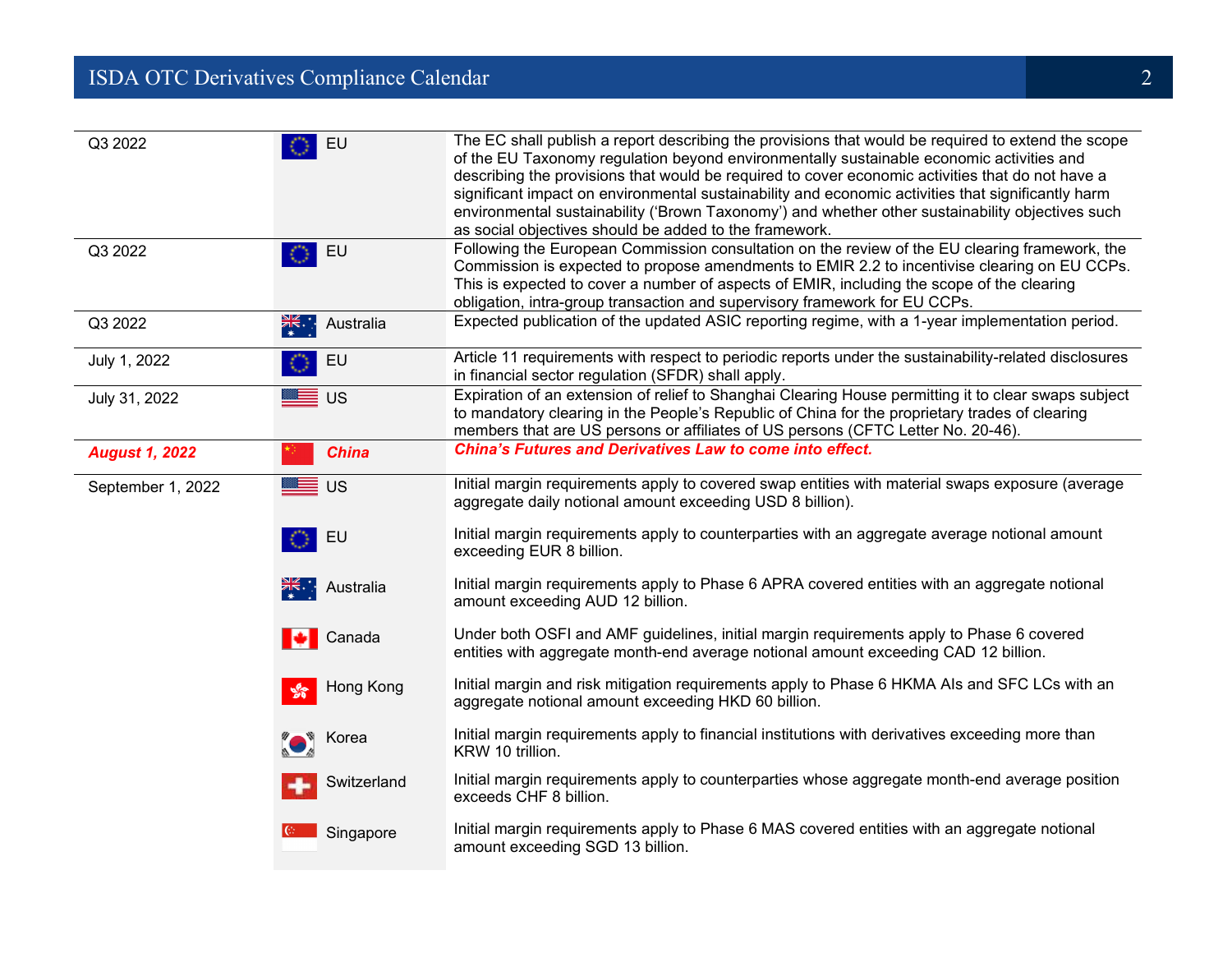## **ISDA OTC Derivatives Compliance Calendar** 2 2

| Q3 2022               | EU                                 | The EC shall publish a report describing the provisions that would be required to extend the scope<br>of the EU Taxonomy regulation beyond environmentally sustainable economic activities and<br>describing the provisions that would be required to cover economic activities that do not have a<br>significant impact on environmental sustainability and economic activities that significantly harm<br>environmental sustainability ('Brown Taxonomy') and whether other sustainability objectives such<br>as social objectives should be added to the framework. |
|-----------------------|------------------------------------|------------------------------------------------------------------------------------------------------------------------------------------------------------------------------------------------------------------------------------------------------------------------------------------------------------------------------------------------------------------------------------------------------------------------------------------------------------------------------------------------------------------------------------------------------------------------|
| Q3 2022               | EU                                 | Following the European Commission consultation on the review of the EU clearing framework, the<br>Commission is expected to propose amendments to EMIR 2.2 to incentivise clearing on EU CCPs.<br>This is expected to cover a number of aspects of EMIR, including the scope of the clearing<br>obligation, intra-group transaction and supervisory framework for EU CCPs.                                                                                                                                                                                             |
| Q3 2022               | $\frac{1}{\sqrt{16}}$<br>Australia | Expected publication of the updated ASIC reporting regime, with a 1-year implementation period.                                                                                                                                                                                                                                                                                                                                                                                                                                                                        |
| July 1, 2022          | EU                                 | Article 11 requirements with respect to periodic reports under the sustainability-related disclosures<br>in financial sector regulation (SFDR) shall apply.                                                                                                                                                                                                                                                                                                                                                                                                            |
| July 31, 2022         | <del>ॾ</del> ∎ ∪ऽ                  | Expiration of an extension of relief to Shanghai Clearing House permitting it to clear swaps subject<br>to mandatory clearing in the People's Republic of China for the proprietary trades of clearing<br>members that are US persons or affiliates of US persons (CFTC Letter No. 20-46).                                                                                                                                                                                                                                                                             |
| <b>August 1, 2022</b> | <b>China</b>                       | <b>China's Futures and Derivatives Law to come into effect.</b>                                                                                                                                                                                                                                                                                                                                                                                                                                                                                                        |
| September 1, 2022     | ██ ∪s                              | Initial margin requirements apply to covered swap entities with material swaps exposure (average<br>aggregate daily notional amount exceeding USD 8 billion).                                                                                                                                                                                                                                                                                                                                                                                                          |
|                       | EU                                 | Initial margin requirements apply to counterparties with an aggregate average notional amount<br>exceeding EUR 8 billion.                                                                                                                                                                                                                                                                                                                                                                                                                                              |
|                       | ak∴ Australia                      | Initial margin requirements apply to Phase 6 APRA covered entities with an aggregate notional<br>amount exceeding AUD 12 billion.                                                                                                                                                                                                                                                                                                                                                                                                                                      |
|                       | Canada                             | Under both OSFI and AMF guidelines, initial margin requirements apply to Phase 6 covered<br>entities with aggregate month-end average notional amount exceeding CAD 12 billion.                                                                                                                                                                                                                                                                                                                                                                                        |
|                       | Hong Kong<br>ಳೆ                    | Initial margin and risk mitigation requirements apply to Phase 6 HKMA Als and SFC LCs with an<br>aggregate notional amount exceeding HKD 60 billion.                                                                                                                                                                                                                                                                                                                                                                                                                   |
|                       | $\bullet$ Korea                    | Initial margin requirements apply to financial institutions with derivatives exceeding more than<br>KRW 10 trillion.                                                                                                                                                                                                                                                                                                                                                                                                                                                   |
|                       | Switzerland                        | Initial margin requirements apply to counterparties whose aggregate month-end average position<br>exceeds CHF 8 billion.                                                                                                                                                                                                                                                                                                                                                                                                                                               |
|                       | Singapore                          | Initial margin requirements apply to Phase 6 MAS covered entities with an aggregate notional<br>amount exceeding SGD 13 billion.                                                                                                                                                                                                                                                                                                                                                                                                                                       |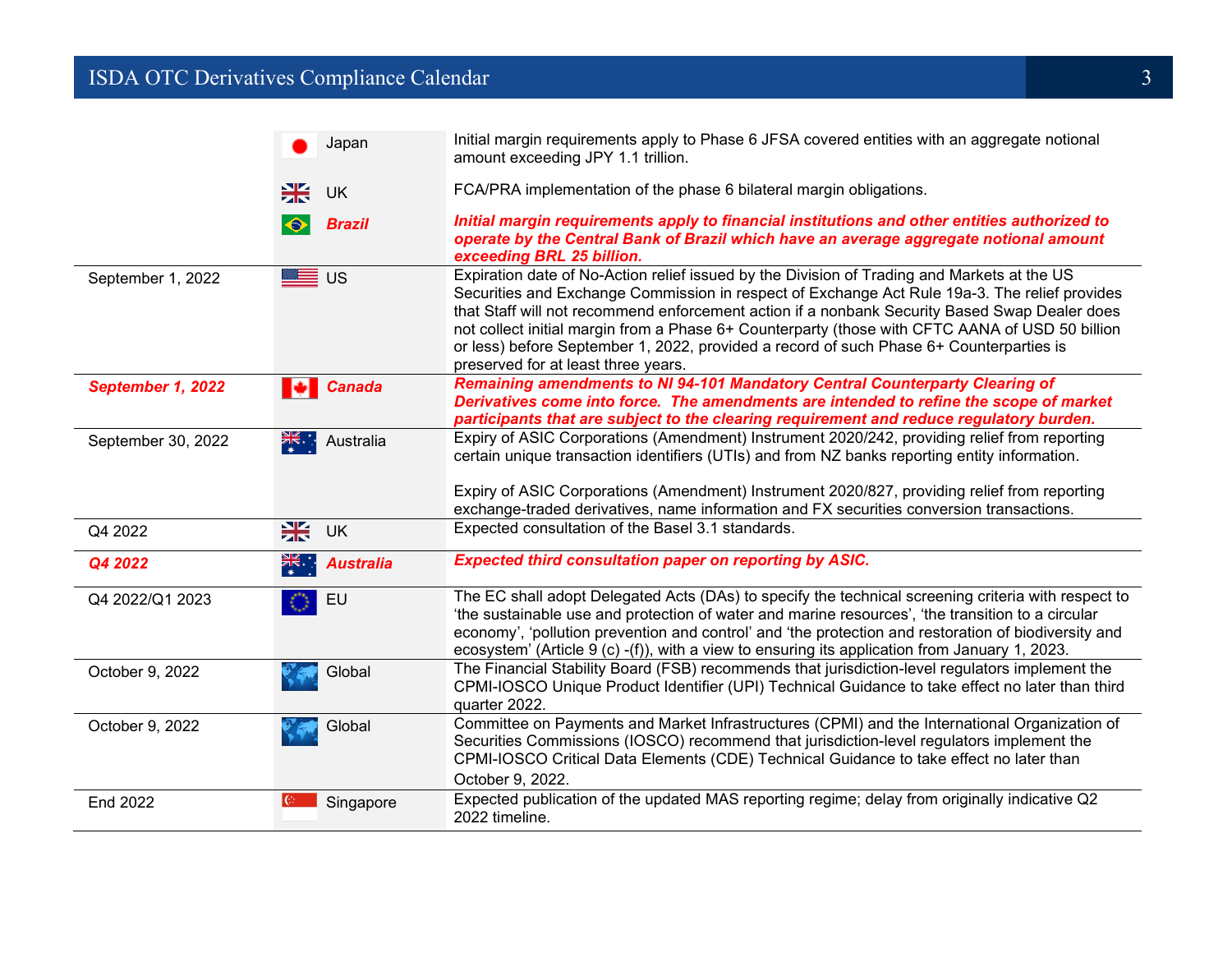#### **ISDA OTC Derivatives Compliance Calendar** 3 **3**

|                    | Japan                         | Initial margin requirements apply to Phase 6 JFSA covered entities with an aggregate notional<br>amount exceeding JPY 1.1 trillion.                                                                                                                                                                                                                                                                                                                                                                                                |
|--------------------|-------------------------------|------------------------------------------------------------------------------------------------------------------------------------------------------------------------------------------------------------------------------------------------------------------------------------------------------------------------------------------------------------------------------------------------------------------------------------------------------------------------------------------------------------------------------------|
|                    | ₩<br><b>UK</b>                | FCA/PRA implementation of the phase 6 bilateral margin obligations.                                                                                                                                                                                                                                                                                                                                                                                                                                                                |
|                    | <b>Brazil</b>                 | Initial margin requirements apply to financial institutions and other entities authorized to<br>operate by the Central Bank of Brazil which have an average aggregate notional amount<br>exceeding BRL 25 billion.                                                                                                                                                                                                                                                                                                                 |
| September 1, 2022  | ██ ∪s                         | Expiration date of No-Action relief issued by the Division of Trading and Markets at the US<br>Securities and Exchange Commission in respect of Exchange Act Rule 19a-3. The relief provides<br>that Staff will not recommend enforcement action if a nonbank Security Based Swap Dealer does<br>not collect initial margin from a Phase 6+ Counterparty (those with CFTC AANA of USD 50 billion<br>or less) before September 1, 2022, provided a record of such Phase 6+ Counterparties is<br>preserved for at least three years. |
| September 1, 2022  | <b>Canada</b><br>ю            | Remaining amendments to NI 94-101 Mandatory Central Counterparty Clearing of<br>Derivatives come into force. The amendments are intended to refine the scope of market<br>participants that are subject to the clearing requirement and reduce regulatory burden.                                                                                                                                                                                                                                                                  |
| September 30, 2022 | न्द्र्र्व्य∴ Australia        | Expiry of ASIC Corporations (Amendment) Instrument 2020/242, providing relief from reporting<br>certain unique transaction identifiers (UTIs) and from NZ banks reporting entity information.<br>Expiry of ASIC Corporations (Amendment) Instrument 2020/827, providing relief from reporting<br>exchange-traded derivatives, name information and FX securities conversion transactions.                                                                                                                                          |
| Q4 2022            | 米<br><b>UK</b>                | Expected consultation of the Basel 3.1 standards.                                                                                                                                                                                                                                                                                                                                                                                                                                                                                  |
| Q4 2022            | <u>≫k</u><br><b>Australia</b> | <b>Expected third consultation paper on reporting by ASIC.</b>                                                                                                                                                                                                                                                                                                                                                                                                                                                                     |
| Q4 2022/Q1 2023    | EU                            | The EC shall adopt Delegated Acts (DAs) to specify the technical screening criteria with respect to<br>'the sustainable use and protection of water and marine resources', 'the transition to a circular<br>economy', 'pollution prevention and control' and 'the protection and restoration of biodiversity and<br>ecosystem' (Article 9 (c) -(f)), with a view to ensuring its application from January 1, 2023.                                                                                                                 |
| October 9, 2022    | Global                        | The Financial Stability Board (FSB) recommends that jurisdiction-level regulators implement the<br>CPMI-IOSCO Unique Product Identifier (UPI) Technical Guidance to take effect no later than third<br>quarter 2022.                                                                                                                                                                                                                                                                                                               |
| October 9, 2022    | Global                        | Committee on Payments and Market Infrastructures (CPMI) and the International Organization of<br>Securities Commissions (IOSCO) recommend that jurisdiction-level regulators implement the<br>CPMI-IOSCO Critical Data Elements (CDE) Technical Guidance to take effect no later than<br>October 9, 2022.                                                                                                                                                                                                                          |
| End 2022           | $ C_7 $<br>Singapore          | Expected publication of the updated MAS reporting regime; delay from originally indicative Q2<br>2022 timeline.                                                                                                                                                                                                                                                                                                                                                                                                                    |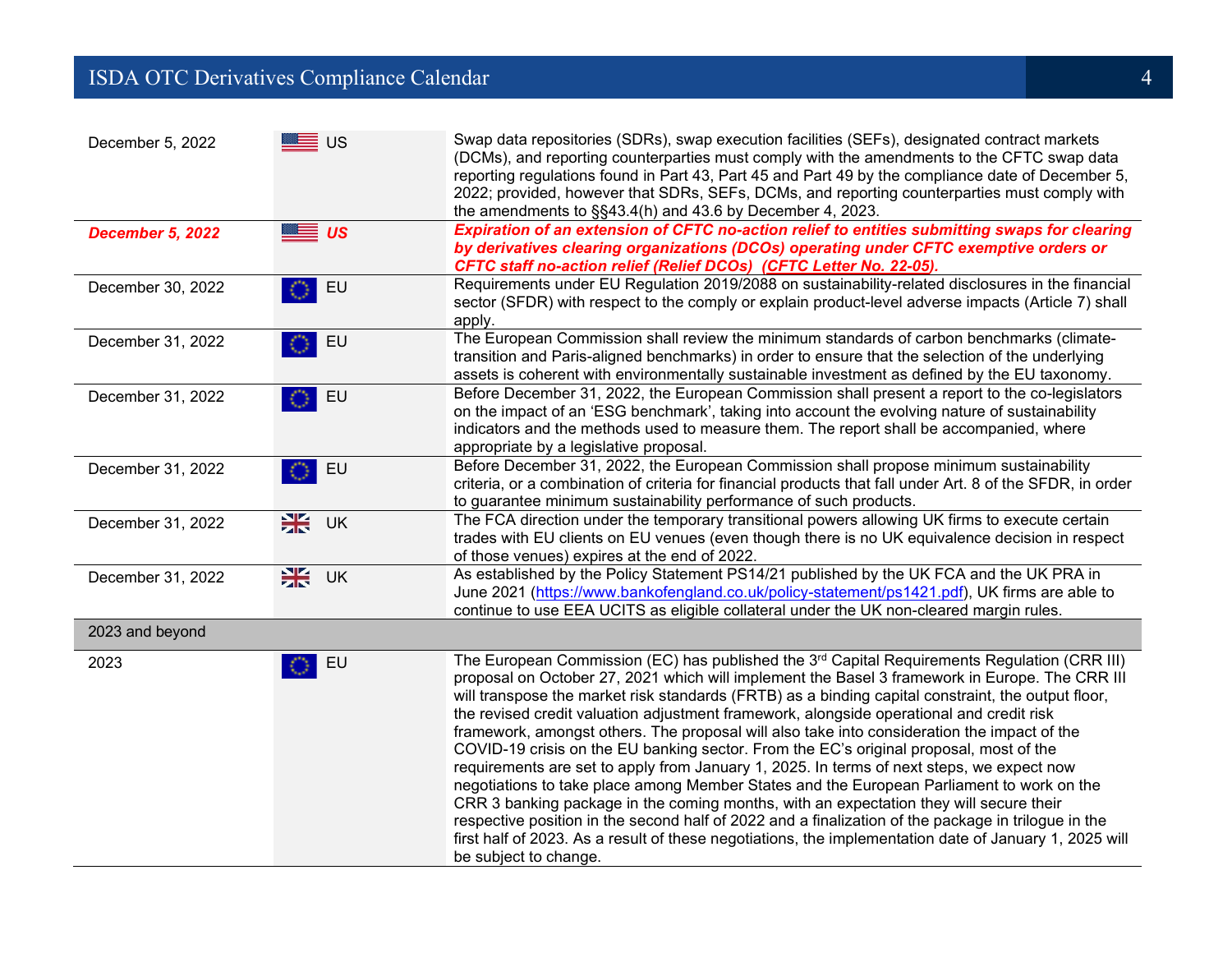#### **ISDA OTC Derivatives Compliance Calendar** 4 **1999 1999 1999 1999 1999 1999 1999 1999 1999 1999 1999 1999 1999 1999 1999 1999 1999 1999 1999 1999 1999 1999 1999 1999 1999 1**

| December 5, 2022        | <del>ा</del> ∪s | Swap data repositories (SDRs), swap execution facilities (SEFs), designated contract markets<br>(DCMs), and reporting counterparties must comply with the amendments to the CFTC swap data<br>reporting regulations found in Part 43, Part 45 and Part 49 by the compliance date of December 5,<br>2022; provided, however that SDRs, SEFs, DCMs, and reporting counterparties must comply with<br>the amendments to §§43.4(h) and 43.6 by December 4, 2023.                                                                                                                                                                                                                                                                                                                                                                                                                                                                                                                                                                                                                                                                        |
|-------------------------|-----------------|-------------------------------------------------------------------------------------------------------------------------------------------------------------------------------------------------------------------------------------------------------------------------------------------------------------------------------------------------------------------------------------------------------------------------------------------------------------------------------------------------------------------------------------------------------------------------------------------------------------------------------------------------------------------------------------------------------------------------------------------------------------------------------------------------------------------------------------------------------------------------------------------------------------------------------------------------------------------------------------------------------------------------------------------------------------------------------------------------------------------------------------|
| <b>December 5, 2022</b> | ██ <i>us</i>    | Expiration of an extension of CFTC no-action relief to entities submitting swaps for clearing<br>by derivatives clearing organizations (DCOs) operating under CFTC exemptive orders or<br>CFTC staff no-action relief (Relief DCOs) (CFTC Letter No. 22-05).                                                                                                                                                                                                                                                                                                                                                                                                                                                                                                                                                                                                                                                                                                                                                                                                                                                                        |
| December 30, 2022       | EU              | Requirements under EU Regulation 2019/2088 on sustainability-related disclosures in the financial<br>sector (SFDR) with respect to the comply or explain product-level adverse impacts (Article 7) shall<br>apply.                                                                                                                                                                                                                                                                                                                                                                                                                                                                                                                                                                                                                                                                                                                                                                                                                                                                                                                  |
| December 31, 2022       | EU              | The European Commission shall review the minimum standards of carbon benchmarks (climate-<br>transition and Paris-aligned benchmarks) in order to ensure that the selection of the underlying<br>assets is coherent with environmentally sustainable investment as defined by the EU taxonomy.                                                                                                                                                                                                                                                                                                                                                                                                                                                                                                                                                                                                                                                                                                                                                                                                                                      |
| December 31, 2022       | EU              | Before December 31, 2022, the European Commission shall present a report to the co-legislators<br>on the impact of an 'ESG benchmark', taking into account the evolving nature of sustainability<br>indicators and the methods used to measure them. The report shall be accompanied, where<br>appropriate by a legislative proposal.                                                                                                                                                                                                                                                                                                                                                                                                                                                                                                                                                                                                                                                                                                                                                                                               |
| December 31, 2022       | EU              | Before December 31, 2022, the European Commission shall propose minimum sustainability<br>criteria, or a combination of criteria for financial products that fall under Art. 8 of the SFDR, in order<br>to guarantee minimum sustainability performance of such products.                                                                                                                                                                                                                                                                                                                                                                                                                                                                                                                                                                                                                                                                                                                                                                                                                                                           |
| December 31, 2022       | 米.<br>UK        | The FCA direction under the temporary transitional powers allowing UK firms to execute certain<br>trades with EU clients on EU venues (even though there is no UK equivalence decision in respect<br>of those venues) expires at the end of 2022.                                                                                                                                                                                                                                                                                                                                                                                                                                                                                                                                                                                                                                                                                                                                                                                                                                                                                   |
| December 31, 2022       | 米<br>UK         | As established by the Policy Statement PS14/21 published by the UK FCA and the UK PRA in<br>June 2021 (https://www.bankofengland.co.uk/policy-statement/ps1421.pdf), UK firms are able to<br>continue to use EEA UCITS as eligible collateral under the UK non-cleared margin rules.                                                                                                                                                                                                                                                                                                                                                                                                                                                                                                                                                                                                                                                                                                                                                                                                                                                |
| 2023 and beyond         |                 |                                                                                                                                                                                                                                                                                                                                                                                                                                                                                                                                                                                                                                                                                                                                                                                                                                                                                                                                                                                                                                                                                                                                     |
| 2023                    | EU              | The European Commission (EC) has published the 3 <sup>rd</sup> Capital Requirements Regulation (CRR III)<br>proposal on October 27, 2021 which will implement the Basel 3 framework in Europe. The CRR III<br>will transpose the market risk standards (FRTB) as a binding capital constraint, the output floor,<br>the revised credit valuation adjustment framework, alongside operational and credit risk<br>framework, amongst others. The proposal will also take into consideration the impact of the<br>COVID-19 crisis on the EU banking sector. From the EC's original proposal, most of the<br>requirements are set to apply from January 1, 2025. In terms of next steps, we expect now<br>negotiations to take place among Member States and the European Parliament to work on the<br>CRR 3 banking package in the coming months, with an expectation they will secure their<br>respective position in the second half of 2022 and a finalization of the package in trilogue in the<br>first half of 2023. As a result of these negotiations, the implementation date of January 1, 2025 will<br>be subject to change. |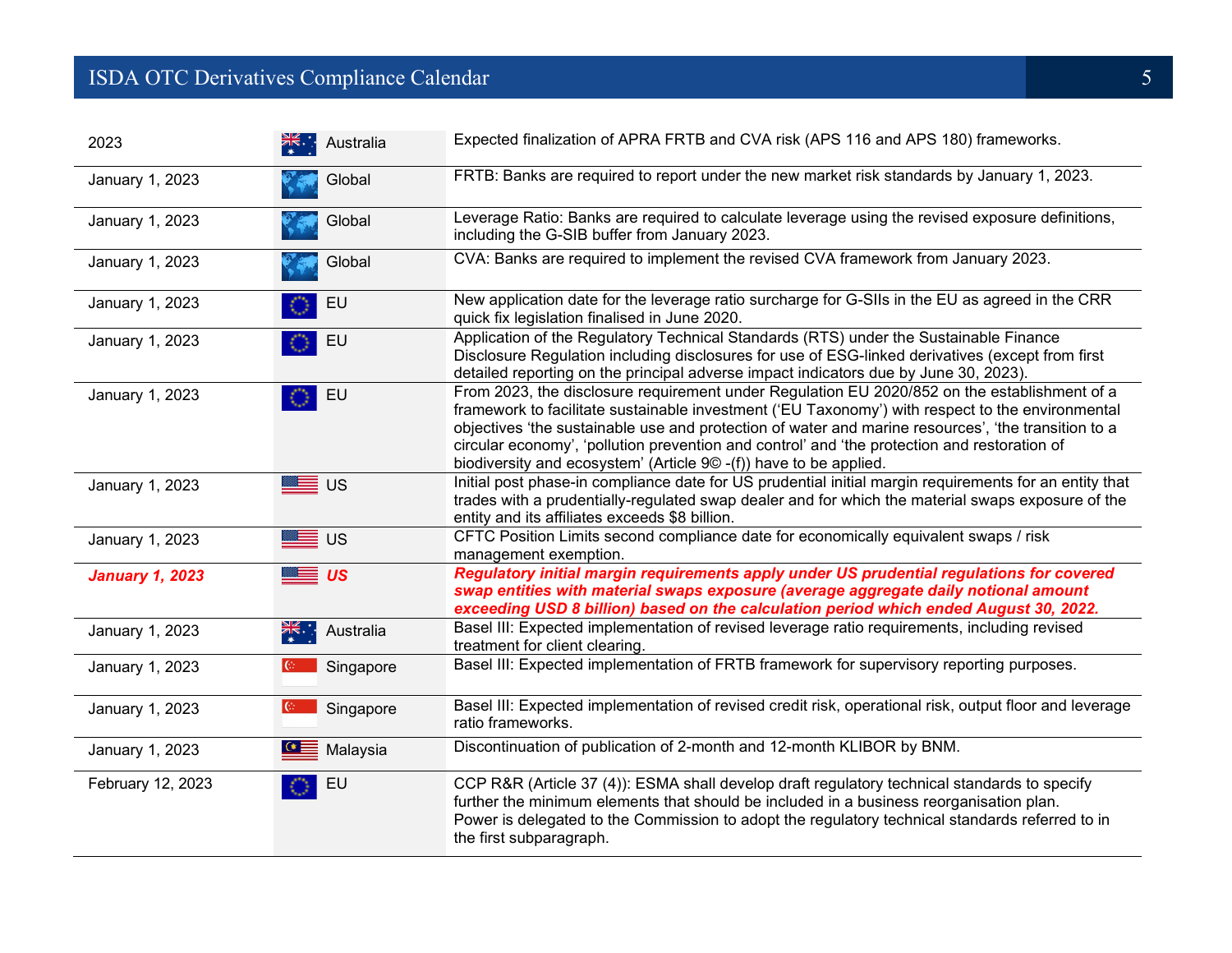## **ISDA OTC Derivatives Compliance Calendar** 5 and 5 and 5 and 5 and 5 and 5 and 5 and 5 and 5 and 5 and 5 and 5 and 5 and 5 and 5 and 5 and 5 and 5 and 5 and 5 and 5 and 5 and 5 and 5 and 5 and 5 and 5 and 5 and 5 and 5 and

| 2023                   | <u> <del>X</del></u> ki∵ Australia | Expected finalization of APRA FRTB and CVA risk (APS 116 and APS 180) frameworks.                                                                                                                                                                                                                                                                                                                                                                                            |
|------------------------|------------------------------------|------------------------------------------------------------------------------------------------------------------------------------------------------------------------------------------------------------------------------------------------------------------------------------------------------------------------------------------------------------------------------------------------------------------------------------------------------------------------------|
| January 1, 2023        | Global                             | FRTB: Banks are required to report under the new market risk standards by January 1, 2023.                                                                                                                                                                                                                                                                                                                                                                                   |
| January 1, 2023        | Global                             | Leverage Ratio: Banks are required to calculate leverage using the revised exposure definitions,<br>including the G-SIB buffer from January 2023.                                                                                                                                                                                                                                                                                                                            |
| January 1, 2023        | Global                             | CVA: Banks are required to implement the revised CVA framework from January 2023.                                                                                                                                                                                                                                                                                                                                                                                            |
| January 1, 2023        | EU                                 | New application date for the leverage ratio surcharge for G-SIIs in the EU as agreed in the CRR<br>quick fix legislation finalised in June 2020.                                                                                                                                                                                                                                                                                                                             |
| January 1, 2023        | EU                                 | Application of the Regulatory Technical Standards (RTS) under the Sustainable Finance<br>Disclosure Regulation including disclosures for use of ESG-linked derivatives (except from first<br>detailed reporting on the principal adverse impact indicators due by June 30, 2023).                                                                                                                                                                                            |
| January 1, 2023        | $\overline{\phantom{a}}$ EU        | From 2023, the disclosure requirement under Regulation EU 2020/852 on the establishment of a<br>framework to facilitate sustainable investment ('EU Taxonomy') with respect to the environmental<br>objectives 'the sustainable use and protection of water and marine resources', 'the transition to a<br>circular economy', 'pollution prevention and control' and 'the protection and restoration of<br>biodiversity and ecosystem' (Article 9© -(f)) have to be applied. |
| January 1, 2023        | ██ ∪s                              | Initial post phase-in compliance date for US prudential initial margin requirements for an entity that<br>trades with a prudentially-regulated swap dealer and for which the material swaps exposure of the<br>entity and its affiliates exceeds \$8 billion.                                                                                                                                                                                                                |
| January 1, 2023        | ██ ∪s                              | CFTC Position Limits second compliance date for economically equivalent swaps / risk<br>management exemption.                                                                                                                                                                                                                                                                                                                                                                |
| <b>January 1, 2023</b> | ██ <i>us</i>                       | Regulatory initial margin requirements apply under US prudential regulations for covered<br>swap entities with material swaps exposure (average aggregate daily notional amount<br>exceeding USD 8 billion) based on the calculation period which ended August 30, 2022.                                                                                                                                                                                                     |
| January 1, 2023        | ak∴ Australia                      | Basel III: Expected implementation of revised leverage ratio requirements, including revised<br>treatment for client clearing.                                                                                                                                                                                                                                                                                                                                               |
| January 1, 2023        | Singapore                          | Basel III: Expected implementation of FRTB framework for supervisory reporting purposes.                                                                                                                                                                                                                                                                                                                                                                                     |
| January 1, 2023        | $ C_1 $<br>Singapore               | Basel III: Expected implementation of revised credit risk, operational risk, output floor and leverage<br>ratio frameworks.                                                                                                                                                                                                                                                                                                                                                  |
| January 1, 2023        | $\mathbf{G}$ Malaysia              | Discontinuation of publication of 2-month and 12-month KLIBOR by BNM.                                                                                                                                                                                                                                                                                                                                                                                                        |
| February 12, 2023      | EU                                 | CCP R&R (Article 37 (4)): ESMA shall develop draft regulatory technical standards to specify<br>further the minimum elements that should be included in a business reorganisation plan.<br>Power is delegated to the Commission to adopt the regulatory technical standards referred to in<br>the first subparagraph.                                                                                                                                                        |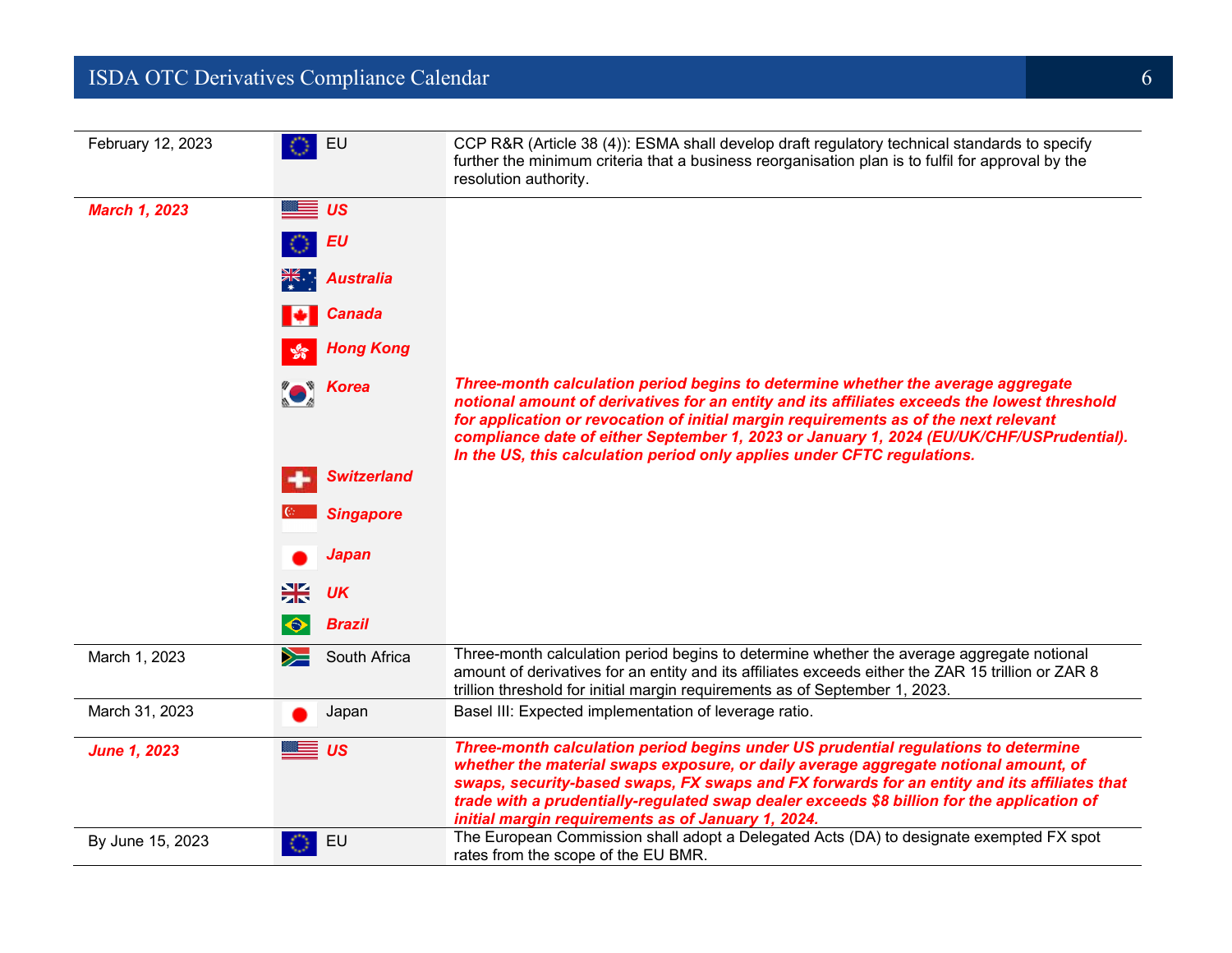#### **ISDA OTC Derivatives Compliance Calendar** 6 **6 1999 1999 1999 1999 1999 1999 1999 1999 1999 1999 1999 1999 1999 1999 1999 1999 1999 1999 1999 1999 1999 1999 1999 1999 1999**

| February 12, 2023    | EU                         | CCP R&R (Article 38 (4)): ESMA shall develop draft regulatory technical standards to specify<br>further the minimum criteria that a business reorganisation plan is to fulfil for approval by the<br>resolution authority.                                                                                                                                                                                                   |
|----------------------|----------------------------|------------------------------------------------------------------------------------------------------------------------------------------------------------------------------------------------------------------------------------------------------------------------------------------------------------------------------------------------------------------------------------------------------------------------------|
| <b>March 1, 2023</b> | $\equiv$ us                |                                                                                                                                                                                                                                                                                                                                                                                                                              |
|                      | EU                         |                                                                                                                                                                                                                                                                                                                                                                                                                              |
|                      | ※ Australia                |                                                                                                                                                                                                                                                                                                                                                                                                                              |
|                      | <b>Canada</b><br>ю         |                                                                                                                                                                                                                                                                                                                                                                                                                              |
|                      | <b>Hong Kong</b>           |                                                                                                                                                                                                                                                                                                                                                                                                                              |
|                      | <b>Korea</b>               | Three-month calculation period begins to determine whether the average aggregate<br>notional amount of derivatives for an entity and its affiliates exceeds the lowest threshold<br>for application or revocation of initial margin requirements as of the next relevant<br>compliance date of either September 1, 2023 or January 1, 2024 (EU/UK/CHF/USPrudential).                                                         |
|                      | <b>Switzerland</b>         | In the US, this calculation period only applies under CFTC regulations.                                                                                                                                                                                                                                                                                                                                                      |
|                      | <b>Singapore</b>           |                                                                                                                                                                                                                                                                                                                                                                                                                              |
|                      | <b>Japan</b>               |                                                                                                                                                                                                                                                                                                                                                                                                                              |
|                      | ∺<br><b>UK</b>             |                                                                                                                                                                                                                                                                                                                                                                                                                              |
|                      | <b>Brazil</b><br>$\bullet$ |                                                                                                                                                                                                                                                                                                                                                                                                                              |
| March 1, 2023        | South Africa<br>➣          | Three-month calculation period begins to determine whether the average aggregate notional<br>amount of derivatives for an entity and its affiliates exceeds either the ZAR 15 trillion or ZAR 8<br>trillion threshold for initial margin requirements as of September 1, 2023.                                                                                                                                               |
| March 31, 2023       | Japan                      | Basel III: Expected implementation of leverage ratio.                                                                                                                                                                                                                                                                                                                                                                        |
| <b>June 1, 2023</b>  | ██ <i>us</i>               | Three-month calculation period begins under US prudential regulations to determine<br>whether the material swaps exposure, or daily average aggregate notional amount, of<br>swaps, security-based swaps, FX swaps and FX forwards for an entity and its affiliates that<br>trade with a prudentially-regulated swap dealer exceeds \$8 billion for the application of<br>initial margin requirements as of January 1, 2024. |
| By June 15, 2023     | EU                         | The European Commission shall adopt a Delegated Acts (DA) to designate exempted FX spot<br>rates from the scope of the EU BMR.                                                                                                                                                                                                                                                                                               |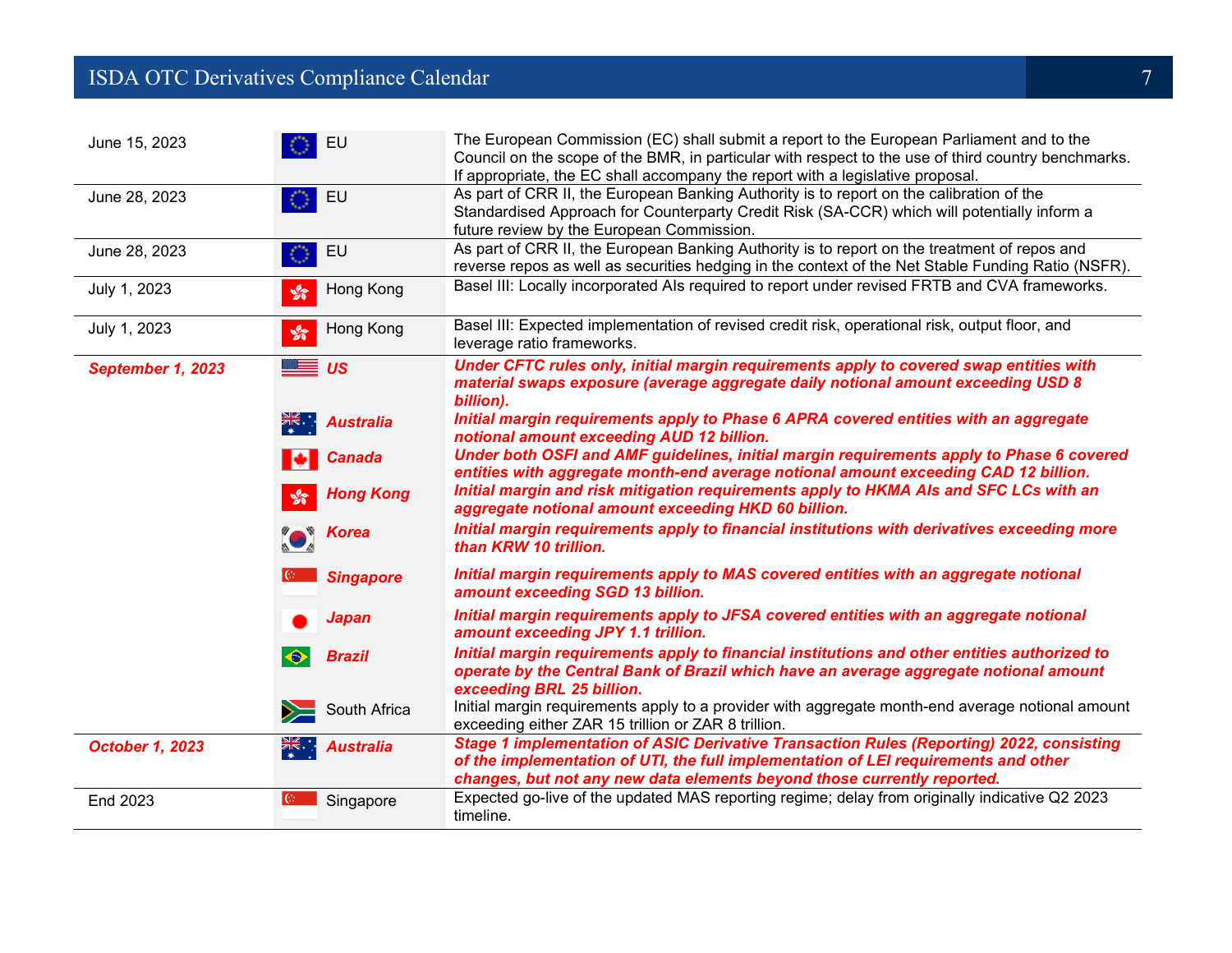## **ISDA OTC Derivatives Compliance Calendar** 7 and 200 million and 200 million and 200 million 200 million 200 million

| June 15, 2023          | EU                          | The European Commission (EC) shall submit a report to the European Parliament and to the<br>Council on the scope of the BMR, in particular with respect to the use of third country benchmarks.<br>If appropriate, the EC shall accompany the report with a legislative proposal. |
|------------------------|-----------------------------|-----------------------------------------------------------------------------------------------------------------------------------------------------------------------------------------------------------------------------------------------------------------------------------|
| June 28, 2023          | EU                          | As part of CRR II, the European Banking Authority is to report on the calibration of the<br>Standardised Approach for Counterparty Credit Risk (SA-CCR) which will potentially inform a<br>future review by the European Commission.                                              |
| June 28, 2023          | EU                          | As part of CRR II, the European Banking Authority is to report on the treatment of repos and<br>reverse repos as well as securities hedging in the context of the Net Stable Funding Ratio (NSFR).                                                                                |
| July 1, 2023           | Hong Kong<br>$\frac{6}{20}$ | Basel III: Locally incorporated Als required to report under revised FRTB and CVA frameworks.                                                                                                                                                                                     |
| July 1, 2023           | Hong Kong<br>$\frac{1}{2}$  | Basel III: Expected implementation of revised credit risk, operational risk, output floor, and<br>leverage ratio frameworks.                                                                                                                                                      |
| September 1, 2023      | <del>≝</del> ≡ ∪s           | Under CFTC rules only, initial margin requirements apply to covered swap entities with<br>material swaps exposure (average aggregate daily notional amount exceeding USD 8<br>billion).                                                                                           |
|                        | <b>米· Australia</b>         | Initial margin requirements apply to Phase 6 APRA covered entities with an aggregate<br>notional amount exceeding AUD 12 billion.                                                                                                                                                 |
|                        | <b>Canada</b>               | Under both OSFI and AMF guidelines, initial margin requirements apply to Phase 6 covered<br>entities with aggregate month-end average notional amount exceeding CAD 12 billion.                                                                                                   |
|                        | <b>Hong Kong</b>            | Initial margin and risk mitigation requirements apply to HKMA AIs and SFC LCs with an<br>aggregate notional amount exceeding HKD 60 billion.                                                                                                                                      |
|                        | <b>Example 3</b> Korea      | Initial margin requirements apply to financial institutions with derivatives exceeding more<br>than KRW 10 trillion.                                                                                                                                                              |
|                        | <b>Singapore</b>            | Initial margin requirements apply to MAS covered entities with an aggregate notional<br>amount exceeding SGD 13 billion.                                                                                                                                                          |
|                        | Japan                       | Initial margin requirements apply to JFSA covered entities with an aggregate notional<br>amount exceeding JPY 1.1 trillion.                                                                                                                                                       |
|                        | <b>Brazil</b><br>$\bullet$  | Initial margin requirements apply to financial institutions and other entities authorized to<br>operate by the Central Bank of Brazil which have an average aggregate notional amount<br>exceeding BRL 25 billion.                                                                |
|                        | South Africa                | Initial margin requirements apply to a provider with aggregate month-end average notional amount<br>exceeding either ZAR 15 trillion or ZAR 8 trillion.                                                                                                                           |
| <b>October 1, 2023</b> | ्रूहू<br><b>Australia</b>   | <b>Stage 1 implementation of ASIC Derivative Transaction Rules (Reporting) 2022, consisting</b><br>of the implementation of UTI, the full implementation of LEI requirements and other<br>changes, but not any new data elements beyond those currently reported.                 |
| End 2023               | $\mathbb{G}$<br>Singapore   | Expected go-live of the updated MAS reporting regime; delay from originally indicative Q2 2023<br>timeline.                                                                                                                                                                       |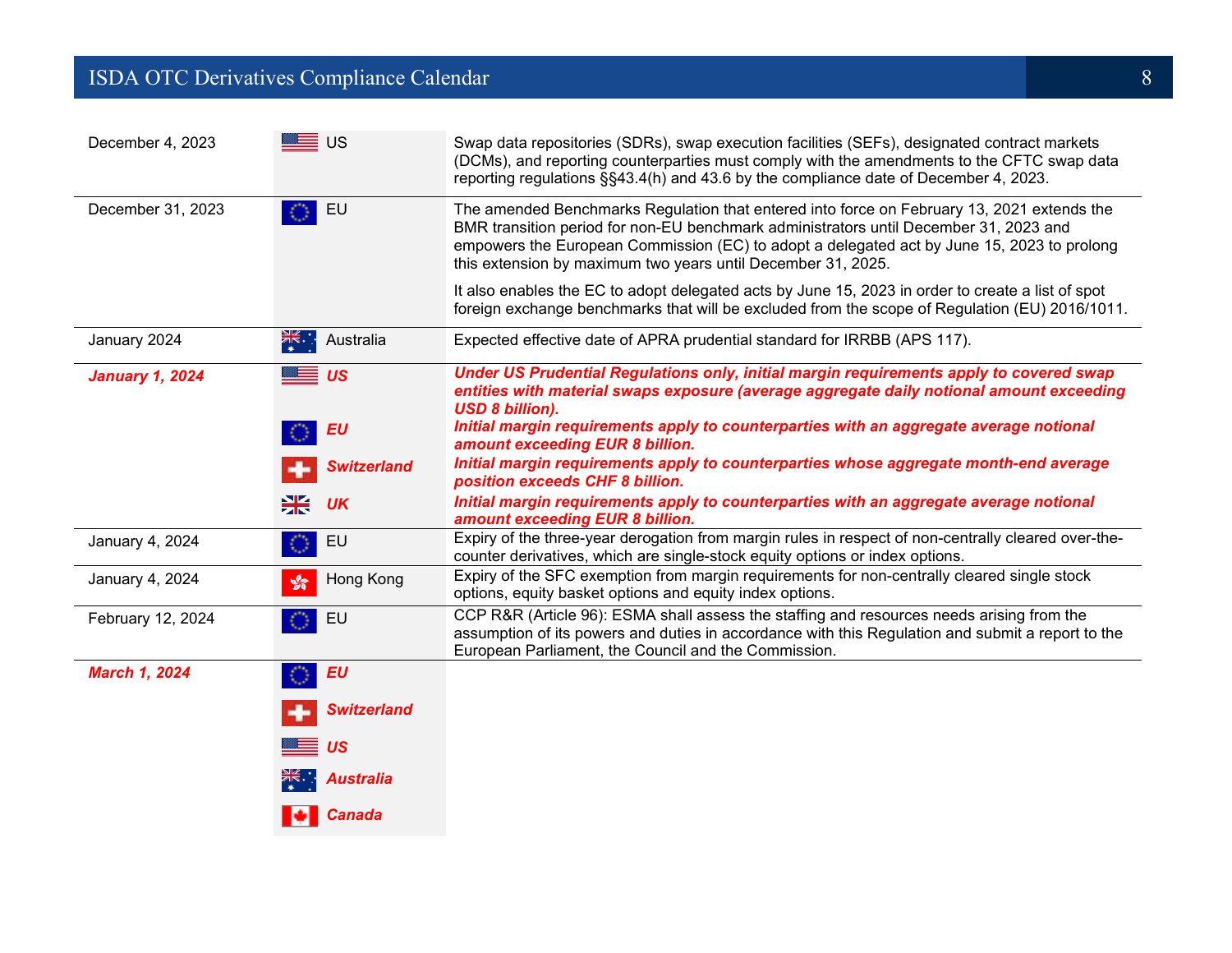## ISDA OTC Derivatives Compliance Calendar 8

| December 4, 2023       | ██ ∪s                           | Swap data repositories (SDRs), swap execution facilities (SEFs), designated contract markets<br>(DCMs), and reporting counterparties must comply with the amendments to the CFTC swap data<br>reporting regulations §§43.4(h) and 43.6 by the compliance date of December 4, 2023.                                                                |
|------------------------|---------------------------------|---------------------------------------------------------------------------------------------------------------------------------------------------------------------------------------------------------------------------------------------------------------------------------------------------------------------------------------------------|
| December 31, 2023      | EU                              | The amended Benchmarks Regulation that entered into force on February 13, 2021 extends the<br>BMR transition period for non-EU benchmark administrators until December 31, 2023 and<br>empowers the European Commission (EC) to adopt a delegated act by June 15, 2023 to prolong<br>this extension by maximum two years until December 31, 2025. |
|                        |                                 | It also enables the EC to adopt delegated acts by June 15, 2023 in order to create a list of spot<br>foreign exchange benchmarks that will be excluded from the scope of Regulation (EU) 2016/1011.                                                                                                                                               |
| January 2024           | $\frac{N}{\ast}$ .<br>Australia | Expected effective date of APRA prudential standard for IRRBB (APS 117).                                                                                                                                                                                                                                                                          |
| <b>January 1, 2024</b> | <u>≡≣</u> ∪s                    | Under US Prudential Regulations only, initial margin requirements apply to covered swap<br>entities with material swaps exposure (average aggregate daily notional amount exceeding<br><b>USD 8 billion).</b>                                                                                                                                     |
|                        | <b>EU</b>                       | Initial margin requirements apply to counterparties with an aggregate average notional<br>amount exceeding EUR 8 billion.                                                                                                                                                                                                                         |
|                        | <b>Switzerland</b>              | Initial margin requirements apply to counterparties whose aggregate month-end average<br>position exceeds CHF 8 billion.                                                                                                                                                                                                                          |
|                        | ₩<br><b>UK</b>                  | Initial margin requirements apply to counterparties with an aggregate average notional<br>amount exceeding EUR 8 billion.                                                                                                                                                                                                                         |
| January 4, 2024        | EU                              | Expiry of the three-year derogation from margin rules in respect of non-centrally cleared over-the-<br>counter derivatives, which are single-stock equity options or index options.                                                                                                                                                               |
| January 4, 2024        | Hong Kong<br>$\frac{1}{2}$      | Expiry of the SFC exemption from margin requirements for non-centrally cleared single stock<br>options, equity basket options and equity index options.                                                                                                                                                                                           |
| February 12, 2024      | EU                              | CCP R&R (Article 96): ESMA shall assess the staffing and resources needs arising from the<br>assumption of its powers and duties in accordance with this Regulation and submit a report to the<br>European Parliament, the Council and the Commission.                                                                                            |
| <b>March 1, 2024</b>   | <b>EU</b>                       |                                                                                                                                                                                                                                                                                                                                                   |
|                        | <b>Switzerland</b>              |                                                                                                                                                                                                                                                                                                                                                   |
|                        | ≣ <i>us</i>                     |                                                                                                                                                                                                                                                                                                                                                   |
|                        | <b>米· Australia</b>             |                                                                                                                                                                                                                                                                                                                                                   |
|                        | Canada                          |                                                                                                                                                                                                                                                                                                                                                   |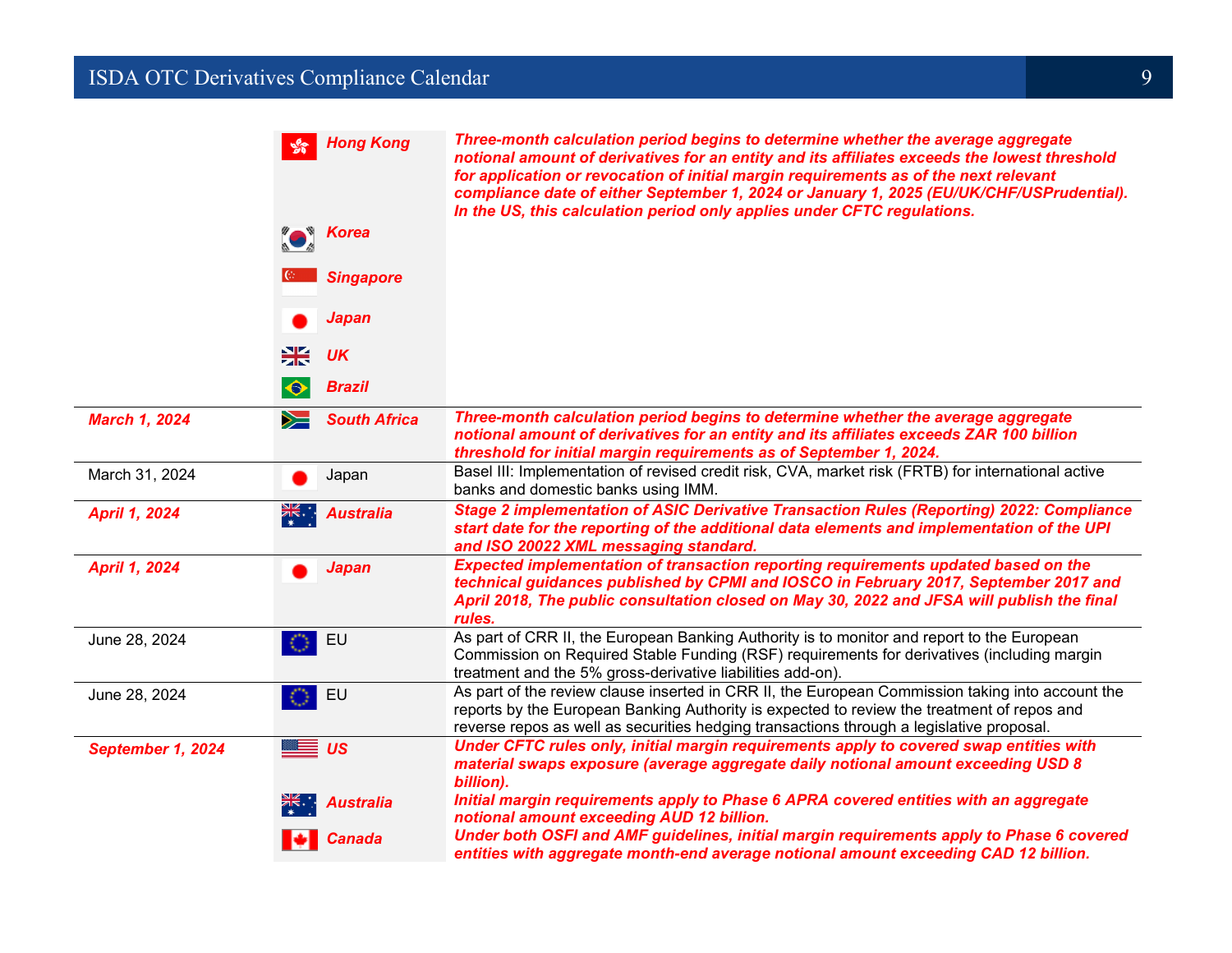## **ISDA OTC Derivatives Compliance Calendar** 9 and 100 million and 100 million and 100 million 100 million 100 million

|                      | <b>Hong Kong</b><br>$\frac{1}{2}$  | Three-month calculation period begins to determine whether the average aggregate<br>notional amount of derivatives for an entity and its affiliates exceeds the lowest threshold<br>for application or revocation of initial margin requirements as of the next relevant<br>compliance date of either September 1, 2024 or January 1, 2025 (EU/UK/CHF/USPrudential).<br>In the US, this calculation period only applies under CFTC regulations. |
|----------------------|------------------------------------|-------------------------------------------------------------------------------------------------------------------------------------------------------------------------------------------------------------------------------------------------------------------------------------------------------------------------------------------------------------------------------------------------------------------------------------------------|
|                      | <b>Example 3</b> Korea             |                                                                                                                                                                                                                                                                                                                                                                                                                                                 |
|                      | <b>Singapore</b>                   |                                                                                                                                                                                                                                                                                                                                                                                                                                                 |
|                      | <b>Japan</b>                       |                                                                                                                                                                                                                                                                                                                                                                                                                                                 |
|                      | 米<br><b>UK</b>                     |                                                                                                                                                                                                                                                                                                                                                                                                                                                 |
|                      | <b>Brazil</b><br>$\bullet$         |                                                                                                                                                                                                                                                                                                                                                                                                                                                 |
| <b>March 1, 2024</b> | <b>South Africa</b><br>$\geqslant$ | Three-month calculation period begins to determine whether the average aggregate<br>notional amount of derivatives for an entity and its affiliates exceeds ZAR 100 billion<br>threshold for initial margin requirements as of September 1, 2024.                                                                                                                                                                                               |
| March 31, 2024       | Japan                              | Basel III: Implementation of revised credit risk, CVA, market risk (FRTB) for international active<br>banks and domestic banks using IMM.                                                                                                                                                                                                                                                                                                       |
| <b>April 1, 2024</b> | ▓▓<br>◆▓<br><b>Australia</b>       | Stage 2 implementation of ASIC Derivative Transaction Rules (Reporting) 2022: Compliance<br>start date for the reporting of the additional data elements and implementation of the UPI<br>and ISO 20022 XML messaging standard.                                                                                                                                                                                                                 |
| <b>April 1, 2024</b> | <b>Japan</b>                       | Expected implementation of transaction reporting requirements updated based on the<br>technical guidances published by CPMI and IOSCO in February 2017, September 2017 and<br>April 2018, The public consultation closed on May 30, 2022 and JFSA will publish the final<br>rules.                                                                                                                                                              |
| June 28, 2024        | EU                                 | As part of CRR II, the European Banking Authority is to monitor and report to the European<br>Commission on Required Stable Funding (RSF) requirements for derivatives (including margin<br>treatment and the 5% gross-derivative liabilities add-on).                                                                                                                                                                                          |
| June 28, 2024        | EU                                 | As part of the review clause inserted in CRR II, the European Commission taking into account the<br>reports by the European Banking Authority is expected to review the treatment of repos and<br>reverse repos as well as securities hedging transactions through a legislative proposal.                                                                                                                                                      |
| September 1, 2024    | —≣ <i>us</i>                       | Under CFTC rules only, initial margin requirements apply to covered swap entities with<br>material swaps exposure (average aggregate daily notional amount exceeding USD 8<br>billion).                                                                                                                                                                                                                                                         |
|                      | <b>Australia</b>                   | Initial margin requirements apply to Phase 6 APRA covered entities with an aggregate<br>notional amount exceeding AUD 12 billion.                                                                                                                                                                                                                                                                                                               |
|                      | <b>Canada</b>                      | Under both OSFI and AMF guidelines, initial margin requirements apply to Phase 6 covered<br>entities with aggregate month-end average notional amount exceeding CAD 12 billion.                                                                                                                                                                                                                                                                 |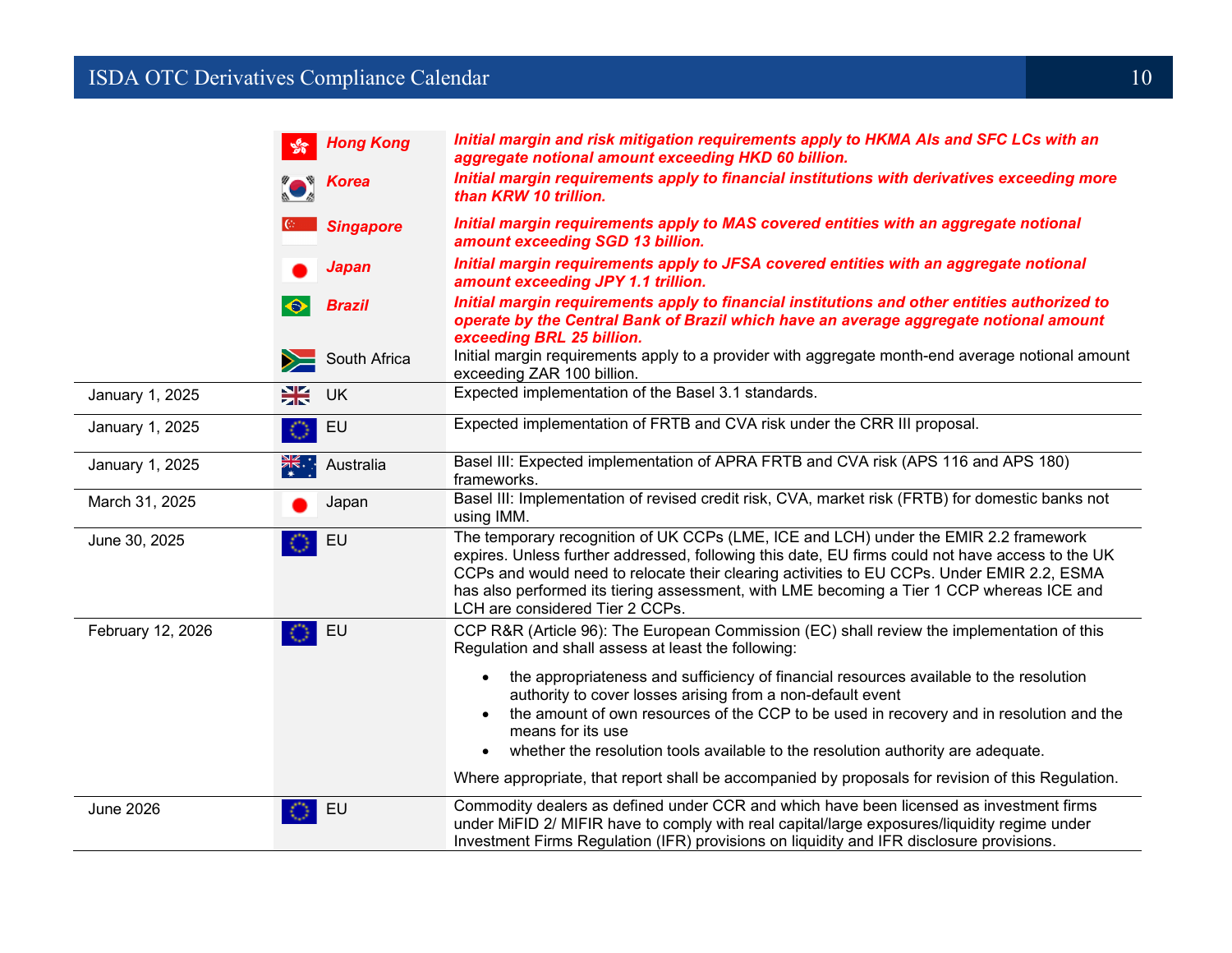#### **ISDA OTC Derivatives Compliance Calendar** 10 and 10 and 10 and 10 and 10 and 10 and 10 and 10 and 10 and 10 and 10

|                   | <b>Hong Kong</b>                  | Initial margin and risk mitigation requirements apply to HKMA AIs and SFC LCs with an<br>aggregate notional amount exceeding HKD 60 billion.                                                                                                                                                                                                                                                                           |
|-------------------|-----------------------------------|------------------------------------------------------------------------------------------------------------------------------------------------------------------------------------------------------------------------------------------------------------------------------------------------------------------------------------------------------------------------------------------------------------------------|
|                   | Korea                             | Initial margin requirements apply to financial institutions with derivatives exceeding more<br>than KRW 10 trillion.                                                                                                                                                                                                                                                                                                   |
|                   | <b>Singapore</b>                  | Initial margin requirements apply to MAS covered entities with an aggregate notional<br>amount exceeding SGD 13 billion.                                                                                                                                                                                                                                                                                               |
|                   | Japan                             | Initial margin requirements apply to JFSA covered entities with an aggregate notional<br>amount exceeding JPY 1.1 trillion.                                                                                                                                                                                                                                                                                            |
|                   | <b>Brazil</b>                     | Initial margin requirements apply to financial institutions and other entities authorized to<br>operate by the Central Bank of Brazil which have an average aggregate notional amount<br>exceeding BRL 25 billion.                                                                                                                                                                                                     |
|                   | $\sum$ South Africa               | Initial margin requirements apply to a provider with aggregate month-end average notional amount<br>exceeding ZAR 100 billion.                                                                                                                                                                                                                                                                                         |
| January 1, 2025   | 米<br>UK                           | Expected implementation of the Basel 3.1 standards.                                                                                                                                                                                                                                                                                                                                                                    |
| January 1, 2025   | EU                                | Expected implementation of FRTB and CVA risk under the CRR III proposal.                                                                                                                                                                                                                                                                                                                                               |
| January 1, 2025   | $\frac{1}{\sqrt{2}}$<br>Australia | Basel III: Expected implementation of APRA FRTB and CVA risk (APS 116 and APS 180)<br>frameworks.                                                                                                                                                                                                                                                                                                                      |
| March 31, 2025    | Japan                             | Basel III: Implementation of revised credit risk, CVA, market risk (FRTB) for domestic banks not<br>using IMM.                                                                                                                                                                                                                                                                                                         |
| June 30, 2025     | EU                                | The temporary recognition of UK CCPs (LME, ICE and LCH) under the EMIR 2.2 framework<br>expires. Unless further addressed, following this date, EU firms could not have access to the UK<br>CCPs and would need to relocate their clearing activities to EU CCPs. Under EMIR 2.2, ESMA<br>has also performed its tiering assessment, with LME becoming a Tier 1 CCP whereas ICE and<br>LCH are considered Tier 2 CCPs. |
| February 12, 2026 | EU                                | CCP R&R (Article 96): The European Commission (EC) shall review the implementation of this<br>Regulation and shall assess at least the following:                                                                                                                                                                                                                                                                      |
|                   |                                   | the appropriateness and sufficiency of financial resources available to the resolution<br>authority to cover losses arising from a non-default event<br>the amount of own resources of the CCP to be used in recovery and in resolution and the<br>means for its use<br>whether the resolution tools available to the resolution authority are adequate.                                                               |
|                   |                                   | Where appropriate, that report shall be accompanied by proposals for revision of this Regulation.                                                                                                                                                                                                                                                                                                                      |
| <b>June 2026</b>  | EU                                | Commodity dealers as defined under CCR and which have been licensed as investment firms<br>under MiFID 2/ MIFIR have to comply with real capital/large exposures/liquidity regime under<br>Investment Firms Regulation (IFR) provisions on liquidity and IFR disclosure provisions.                                                                                                                                    |